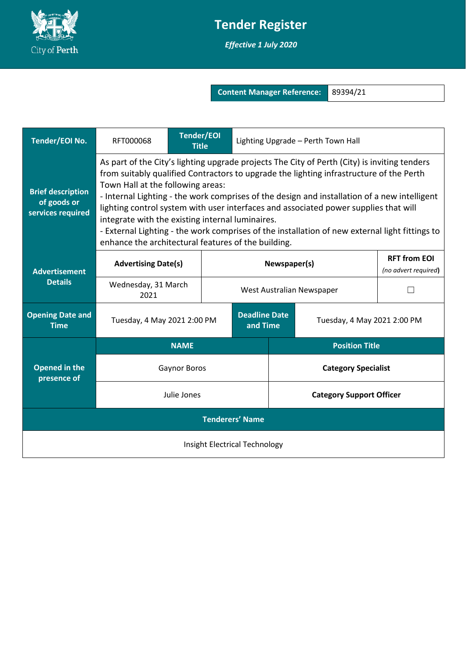

## **Tender Register**

*Effective 1 July 2020*

**Content Manager Reference:** 89394/21

| Tender/EOI No.                                               | <b>Tender/EOI</b><br>RFT000068<br><b>Title</b>                                                                                                                                                                                                                                                                                                                                                                                                                                                                                                                                                                                    |  | Lighting Upgrade - Perth Town Hall                              |  |                                 |                                             |  |  |
|--------------------------------------------------------------|-----------------------------------------------------------------------------------------------------------------------------------------------------------------------------------------------------------------------------------------------------------------------------------------------------------------------------------------------------------------------------------------------------------------------------------------------------------------------------------------------------------------------------------------------------------------------------------------------------------------------------------|--|-----------------------------------------------------------------|--|---------------------------------|---------------------------------------------|--|--|
| <b>Brief description</b><br>of goods or<br>services required | As part of the City's lighting upgrade projects The City of Perth (City) is inviting tenders<br>from suitably qualified Contractors to upgrade the lighting infrastructure of the Perth<br>Town Hall at the following areas:<br>- Internal Lighting - the work comprises of the design and installation of a new intelligent<br>lighting control system with user interfaces and associated power supplies that will<br>integrate with the existing internal luminaires.<br>- External Lighting - the work comprises of the installation of new external light fittings to<br>enhance the architectural features of the building. |  |                                                                 |  |                                 |                                             |  |  |
| <b>Advertisement</b>                                         | <b>Advertising Date(s)</b>                                                                                                                                                                                                                                                                                                                                                                                                                                                                                                                                                                                                        |  | Newspaper(s)                                                    |  |                                 | <b>RFT from EOI</b><br>(no advert required) |  |  |
| <b>Details</b>                                               | Wednesday, 31 March<br>2021                                                                                                                                                                                                                                                                                                                                                                                                                                                                                                                                                                                                       |  | West Australian Newspaper                                       |  |                                 |                                             |  |  |
| <b>Opening Date and</b><br><b>Time</b>                       | Tuesday, 4 May 2021 2:00 PM                                                                                                                                                                                                                                                                                                                                                                                                                                                                                                                                                                                                       |  | <b>Deadline Date</b><br>Tuesday, 4 May 2021 2:00 PM<br>and Time |  |                                 |                                             |  |  |
|                                                              | <b>NAME</b>                                                                                                                                                                                                                                                                                                                                                                                                                                                                                                                                                                                                                       |  |                                                                 |  | <b>Position Title</b>           |                                             |  |  |
| <b>Opened in the</b><br>presence of                          | <b>Gaynor Boros</b>                                                                                                                                                                                                                                                                                                                                                                                                                                                                                                                                                                                                               |  |                                                                 |  | <b>Category Specialist</b>      |                                             |  |  |
|                                                              | Julie Jones                                                                                                                                                                                                                                                                                                                                                                                                                                                                                                                                                                                                                       |  |                                                                 |  | <b>Category Support Officer</b> |                                             |  |  |
| <b>Tenderers' Name</b>                                       |                                                                                                                                                                                                                                                                                                                                                                                                                                                                                                                                                                                                                                   |  |                                                                 |  |                                 |                                             |  |  |
| Insight Electrical Technology                                |                                                                                                                                                                                                                                                                                                                                                                                                                                                                                                                                                                                                                                   |  |                                                                 |  |                                 |                                             |  |  |